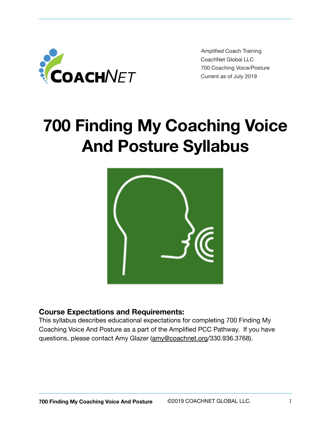

Amplified Coach Training CoachNet Global LLC 700 Coaching Voice/Posture Current as of July 2019

# **700 Finding My Coaching Voice And Posture Syllabus**



# **Course Expectations and Requirements:**

This syllabus describes educational expectations for completing 700 Finding My Coaching Voice And Posture as a part of the Amplified PCC Pathway. If you have questions, please contact Amy Glazer [\(amy@coachnet.org](mailto:amy@coachnet.org)/330.936.3768).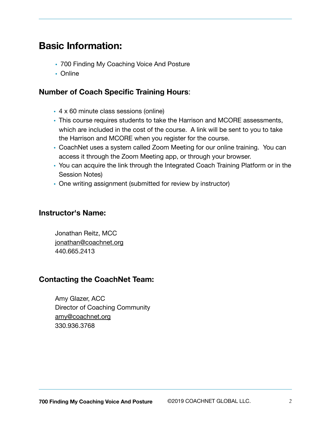# **Basic Information:**

- 700 Finding My Coaching Voice And Posture
- Online

## **Number of Coach Specific Training Hours**:

- 4 x 60 minute class sessions (online)
- This course requires students to take the Harrison and MCORE assessments, which are included in the cost of the course. A link will be sent to you to take the Harrison and MCORE when you register for the course.
- CoachNet uses a system called Zoom Meeting for our online training. You can access it through the Zoom Meeting app, or through your browser.
- You can acquire the link through the Integrated Coach Training Platform or in the Session Notes)
- One writing assignment (submitted for review by instructor)

### **Instructor's Name:**

Jonathan Reitz, MCC [jonathan@coachnet.org](mailto:jonathan@coachnet.org) 440.665.2413

## **Contacting the CoachNet Team:**

Amy Glazer, ACC Director of Coaching Community [amy@coachnet.org](mailto:amy@coachnet.org) 330.936.3768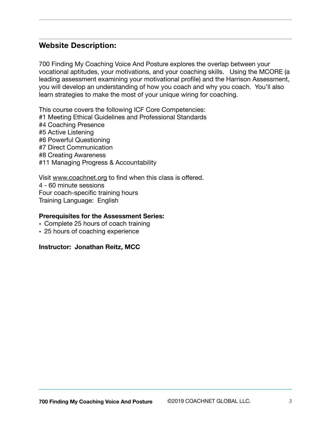# **Website Description:**

700 Finding My Coaching Voice And Posture explores the overlap between your vocational aptitudes, your motivations, and your coaching skills. Using the MCORE (a leading assessment examining your motivational profile) and the Harrison Assessment, you will develop an understanding of how you coach and why you coach. You'll also learn strategies to make the most of your unique wiring for coaching.

This course covers the following ICF Core Competencies: #1 Meeting Ethical Guidelines and Professional Standards #4 Coaching Presence #5 Active Listening #6 Powerful Questioning #7 Direct Communication #8 Creating Awareness #11 Managing Progress & Accountability

Visit [www.coachnet.org](http://www.coachnet.org) to find when this class is offered. 4 - 60 minute sessions Four coach-specific training hours Training Language: English

#### **Prerequisites for the Assessment Series:**

- Complete 25 hours of coach training
- 25 hours of coaching experience

#### **Instructor: Jonathan Reitz, MCC**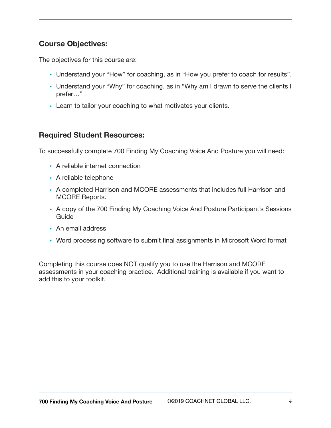# **Course Objectives:**

The objectives for this course are:

- Understand your "How" for coaching, as in "How you prefer to coach for results".
- Understand your "Why" for coaching, as in "Why am I drawn to serve the clients I prefer…"
- Learn to tailor your coaching to what motivates your clients.

# **Required Student Resources:**

To successfully complete 700 Finding My Coaching Voice And Posture you will need:

- A reliable internet connection
- A reliable telephone
- A completed Harrison and MCORE assessments that includes full Harrison and MCORE Reports.
- A copy of the 700 Finding My Coaching Voice And Posture Participant's Sessions Guide
- An email address
- Word processing software to submit final assignments in Microsoft Word format

Completing this course does NOT qualify you to use the Harrison and MCORE assessments in your coaching practice. Additional training is available if you want to add this to your toolkit.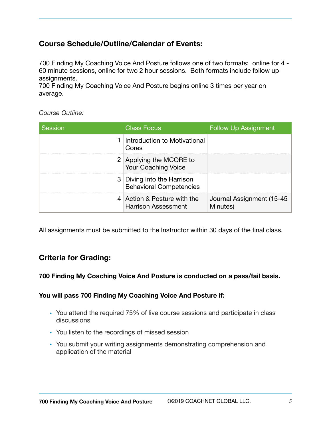# **Course Schedule/Outline/Calendar of Events:**

700 Finding My Coaching Voice And Posture follows one of two formats: online for 4 - 60 minute sessions, online for two 2 hour sessions. Both formats include follow up assignments.

700 Finding My Coaching Voice And Posture begins online 3 times per year on average.

*Course Outline:* 

| Session | <b>Class Focus</b>                                           | <b>Follow Up Assignment</b>           |
|---------|--------------------------------------------------------------|---------------------------------------|
|         | Introduction to Motivational<br>Cores                        |                                       |
|         | 2 Applying the MCORE to<br>Your Coaching Voice               |                                       |
|         | 3 Diving into the Harrison<br><b>Behavioral Competencies</b> |                                       |
|         | 4 Action & Posture with the<br><b>Harrison Assessment</b>    | Journal Assignment (15-45<br>Minutes) |

All assignments must be submitted to the Instructor within 30 days of the final class.

# **Criteria for Grading:**

#### **700 Finding My Coaching Voice And Posture is conducted on a pass/fail basis.**

#### **You will pass 700 Finding My Coaching Voice And Posture if:**

- You attend the required 75% of live course sessions and participate in class discussions
- You listen to the recordings of missed session
- You submit your writing assignments demonstrating comprehension and application of the material